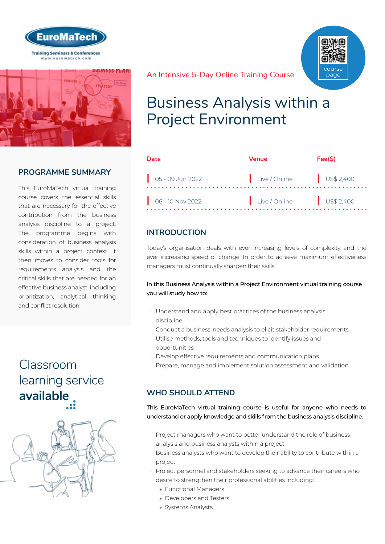



## **PROGRAMME SUMMARY**

This EuroMaTech virtual training course covers the essential skills that are necessary for the effective contribution from the business analysis discipline to a project. The programme begins with consideration of business analysis skills within a project context. It then moves to consider tools for requirements analysis and the critical skills that are needed for an effective business analyst, including prioritization, analytical thinking and conflict resolution.

# Classroom [learning service](https://www.euromatech.com/seminars/business-analysis-within-a-project-environment/)  **available**



An Intensive 5-Day Online Training Course



# Business Analysis within a Project Environment

| <b>Date</b>                 | Venue                                  | Fee(S) |
|-----------------------------|----------------------------------------|--------|
|                             | Live/Online US\$ 2,400                 |        |
| $\bigcirc$ 06 - 10 Nov 2022 | $\vert$ Live/Online $\vert$ US\$ 2,400 |        |

## **INTRODUCTION**

Today's organisation deals with ever increasing levels of complexity and the ever increasing speed of change. In order to achieve maximum effectiveness managers must continually sharpen their skills.

#### In this Business Analysis within a Project Environment virtual training course you will study how to:

- Understand and apply best practices of the business analysis discipline
- Conduct a business-needs analysis to elicit stakeholder requirements
- Utilise methods, tools and techniques to identify issues and opportunities
- Develop effective requirements and communication plans
- Prepare, manage and implement solution assessment and validation

## **WHO SHOULD ATTEND**

This EuroMaTech virtual training course is useful for anyone who needs to understand or apply knowledge and skills from the business analysis discipline.

- Project managers who want to better understand the role of business analysis and business analysts within a project
- Business analysts who want to develop their ability to contribute within a project
- Project personnel and stakeholders seeking to advance their careers who desire to strengthen their professional abilities including:
	- » Functional Managers
	- » Developers and Testers
	- » Systems Analysts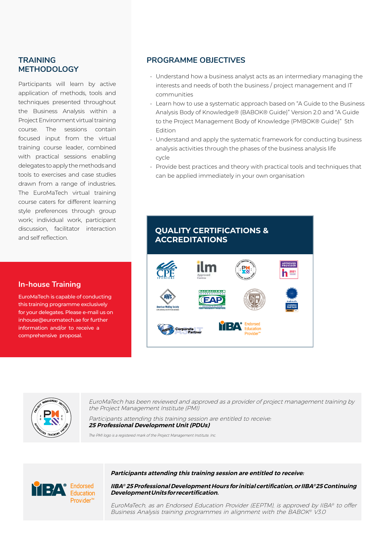#### **TRAINING METHODOLOGY**

Participants will learn by active application of methods, tools and techniques presented throughout the Business Analysis within a Project Environment virtual training course. The sessions contain focused input from the virtual training course leader, combined with practical sessions enabling delegates to apply the methods and tools to exercises and case studies drawn from a range of industries. The EuroMaTech virtual training course caters for different learning style preferences through group work; individual work, participant discussion, facilitator interaction and self reflection.

#### **In-house Training**

EuroMaTech is capable of conducting this training programme exclusively for your delegates. Please e-mail us on inhouse@euromatech.ae for further information and/or to receive a comprehensive proposal.

#### **PROGRAMME OBJECTIVES**

- Understand how a business analyst acts as an intermediary managing the interests and needs of both the business / project management and IT communities
- Learn how to use a systematic approach based on "A Guide to the Business Analysis Body of Knowledge® (BABOK® Guide)" Version 2.0 and "A Guide to the Project Management Body of Knowledge (PMBOK® Guide)" 5th Edition
- Understand and apply the systematic framework for conducting business analysis activities through the phases of the business analysis life cycle
- Provide best practices and theory with practical tools and techniques that can be applied immediately in your own organisation

# **QUALITY CERTIFICATIONS & ACCREDITATIONS**





EuroMaTech has been reviewed and approved as a provider of project management training by the Project Management Institute (PMI)

Participants attending this training session are entitled to receive: **25 Professional Development Unit (PDUs)**

The PMI logo is a registered mark of the Project Management Institute, Inc.

#### **Participants attending this training session are entitled to receive:**



**IIBA® 25 Professional Development Hours for initial certification, or IIBA® 25 Continuing Development Units for recertification.**

EuroMaTech, as an Endorsed Education Provider (EEPTM), is approved by IIBA® to offer Business Analysis training programmes in alignment with the BABOK® V3.0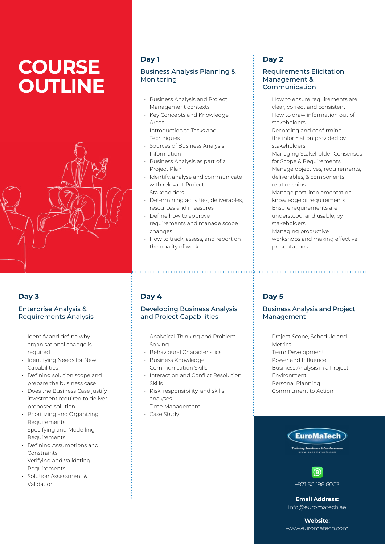# **COURSE OUTLINE**



## **Day 3**

#### Enterprise Analysis & Requirements Analysis

- Identify and define why organisational change is required
- Identifying Needs for New Capabilities
- Defining solution scope and prepare the business case
- Does the Business Case justify investment required to deliver proposed solution
- Prioritizing and Organizing Requirements
- Specifying and Modelling Requirements
- Defining Assumptions and **Constraints**
- Verifying and Validating Requirements
- Solution Assessment & Validation

# **Day 1**

#### Business Analysis Planning & Monitoring

- Business Analysis and Project Management contexts
- Key Concepts and Knowledge Areas
- Introduction to Tasks and **Techniques**
- Sources of Business Analysis Information
- Business Analysis as part of a Project Plan
- Identify, analyse and communicate with relevant Project **Stakeholders**
- Determining activities, deliverables, resources and measures
- Define how to approve requirements and manage scope changes
- How to track, assess, and report on the quality of work

# **Day 4**

#### Developing Business Analysis and Project Capabilities

- Analytical Thinking and Problem Solving
- Behavioural Characteristics
- Business Knowledge
- Communication Skills
- Interaction and Conflict Resolution Skills
- Risk, responsibility, and skills analyses
- Time Management
- Case Study

# **Day 2**

#### Requirements Elicitation Management & Communication

- How to ensure requirements are clear, correct and consistent
- How to draw information out of stakeholders
- Recording and confirming the information provided by stakeholders
- Managing Stakeholder Consensus for Scope & Requirements
- Manage objectives, requirements, deliverables, & components relationships
- Manage post-implementation knowledge of requirements
- Ensure requirements are understood, and usable, by stakeholders
- Managing productive workshops and making effective presentations

# **Day 5**

#### Business Analysis and Project Management

- Project Scope, Schedule and Metrics
- Team Development
- Power and Influence
- Business Analysis in a Project Environment
- Personal Planning
- Commitment to Action





**Email Address:** info@euromatech.ae

**Website:** www.euromatech.com